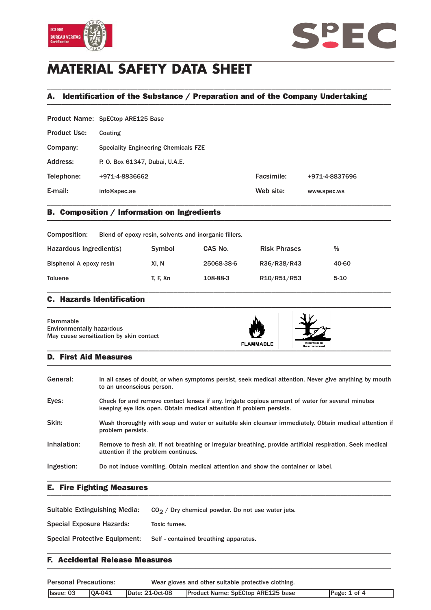



# **MATERIAL SAFETY DATA SHEET**

## A. Identification of the Substance / Preparation and of the Company Undertaking \_\_\_\_\_\_\_\_\_\_\_\_\_\_\_\_\_\_\_\_\_\_\_\_\_\_\_\_\_\_\_\_\_\_\_\_\_\_\_\_\_\_\_\_\_\_\_\_\_\_\_\_\_\_\_\_\_\_\_\_\_\_\_\_\_\_\_\_\_\_\_\_\_\_\_\_\_\_\_\_\_\_\_\_\_\_\_\_\_\_\_\_\_\_\_

\_\_\_\_\_\_\_\_\_\_\_\_\_\_\_\_\_\_\_\_\_\_\_\_\_\_\_\_\_\_\_\_\_\_\_\_\_\_\_\_\_\_\_\_\_\_\_\_\_\_\_\_\_\_\_\_\_\_\_\_\_\_\_\_\_\_\_\_\_\_\_\_\_\_\_\_\_\_\_\_\_\_\_\_\_\_\_\_\_\_\_\_\_\_\_

|                     | Product Name: SpECtop ARE125 Base           |            |                |
|---------------------|---------------------------------------------|------------|----------------|
| <b>Product Use:</b> | Coating                                     |            |                |
| Company:            | <b>Speciality Engineering Chemicals FZE</b> |            |                |
| Address:            | P. O. Box 61347, Dubai, U.A.E.              |            |                |
| Telephone:          | +971-4-8836662                              | Facsimile: | +971-4-8837696 |
| E-mail:             | info@spec.ae                                | Web site:  | www.spec.ws    |
|                     |                                             |            |                |

## B. Composition / Information on Ingredients \_\_\_\_\_\_\_\_\_\_\_\_\_\_\_\_\_\_\_\_\_\_\_\_\_\_\_\_\_\_\_\_\_\_\_\_\_\_\_\_\_\_\_\_\_\_\_\_\_\_\_\_\_\_\_\_\_\_\_\_\_\_\_\_\_\_\_\_\_\_\_\_\_\_\_\_\_\_\_\_\_\_\_\_\_\_\_\_\_\_\_\_\_\_\_

| Composition:            | Blend of epoxy resin, solvents and inorganic fillers. |            |                     |          |
|-------------------------|-------------------------------------------------------|------------|---------------------|----------|
| Hazardous Ingredient(s) | Symbol                                                | CAS No.    | <b>Risk Phrases</b> | %        |
| Bisphenol A epoxy resin | Xi. N                                                 | 25068-38-6 | R36/R38/R43         | 40-60    |
| <b>Toluene</b>          | T. F. Xn                                              | 108-88-3   | R10/R51/R53         | $5 - 10$ |

### C. Hazards Identification  $\blacksquare$

| Flammable<br><b>Environmentally hazardous</b><br>May cause sensitization by skin contact | <b>FLAMMABLE</b> | Hazardous to<br>the environment |  |
|------------------------------------------------------------------------------------------|------------------|---------------------------------|--|
|------------------------------------------------------------------------------------------|------------------|---------------------------------|--|

### D. First Aid Measures  $\blacksquare$

| General:    | In all cases of doubt, or when symptoms persist, seek medical attention. Never give anything by mouth<br>to an unconscious person.                                       |
|-------------|--------------------------------------------------------------------------------------------------------------------------------------------------------------------------|
| Eyes:       | Check for and remove contact lenses if any. Irrigate copious amount of water for several minutes<br>keeping eye lids open. Obtain medical attention if problem persists. |
| Skin:       | Wash thoroughly with soap and water or suitable skin cleanser immediately. Obtain medical attention if<br>problem persists.                                              |
| Inhalation: | Remove to fresh air. If not breathing or irregular breathing, provide artificial respiration. Seek medical<br>attention if the problem continues.                        |
| Ingestion:  | Do not induce vomiting. Obtain medical attention and show the container or label.                                                                                        |

### E. Fire Fighting Measures \_\_\_\_\_\_\_\_\_\_\_\_\_\_\_\_\_\_\_\_\_\_\_\_\_\_\_\_\_\_\_\_\_\_\_\_\_\_\_\_\_\_\_\_\_\_\_\_\_\_\_\_\_\_\_\_\_\_\_\_\_\_\_\_\_\_\_\_\_\_\_\_\_\_\_\_\_\_\_\_\_\_\_\_\_\_\_\_\_\_\_\_\_\_\_

| Suitable Extinguishing Media: | $CO2$ / Dry chemical powder. Do not use water jets. |
|-------------------------------|-----------------------------------------------------|
| Special Exposure Hazards:     | Toxic fumes.                                        |
| Special Protective Equipment: | Self - contained breathing apparatus.               |
|                               |                                                     |

### F. Accidental Release Measures  $\blacksquare$

| <b>Personal Precautions:</b> |               | Wear gloves and other suitable protective clothing. |                                          |              |
|------------------------------|---------------|-----------------------------------------------------|------------------------------------------|--------------|
| <b>Issue: 03</b>             | <b>0A-041</b> | Date: 21-Oct-08                                     | <b>Product Name: SpECtop ARE125 base</b> | Page: 1 of 4 |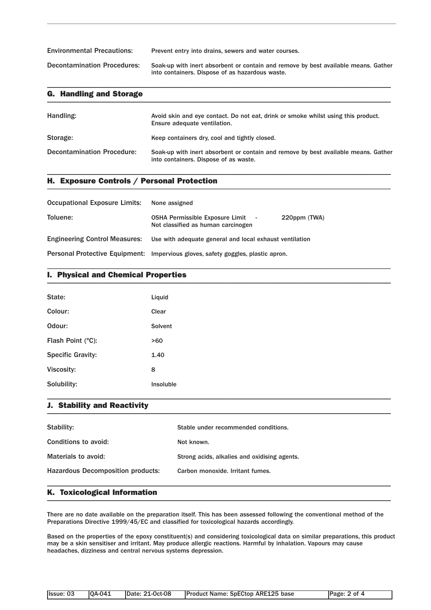| <b>Environmental Precautions:</b>  | Prevent entry into drains, sewers and water courses.                                                                                  |
|------------------------------------|---------------------------------------------------------------------------------------------------------------------------------------|
| <b>Decontamination Procedures:</b> | Soak-up with inert absorbent or contain and remove by best available means. Gather<br>into containers. Dispose of as hazardous waste. |

\_\_\_\_\_\_\_\_\_\_\_\_\_\_\_\_\_\_\_\_\_\_\_\_\_\_\_\_\_\_\_\_\_\_\_\_\_\_\_\_\_\_\_\_\_\_\_\_\_\_\_\_\_\_\_\_\_\_\_\_\_\_\_\_\_\_\_\_\_\_\_\_\_\_\_\_\_\_\_\_\_\_\_\_\_\_\_\_\_\_\_\_\_\_\_

| <b>G. Handling and Storage</b>    |                                                                                                                             |
|-----------------------------------|-----------------------------------------------------------------------------------------------------------------------------|
| Handling:                         | Avoid skin and eye contact. Do not eat, drink or smoke whilst using this product.<br>Ensure adequate ventilation.           |
| Storage:                          | Keep containers dry, cool and tightly closed.                                                                               |
| <b>Decontamination Procedure:</b> | Soak-up with inert absorbent or contain and remove by best available means. Gather<br>into containers. Dispose of as waste. |

\_\_\_\_\_\_\_\_\_\_\_\_\_\_\_\_\_\_\_\_\_\_\_\_\_\_\_\_\_\_\_\_\_\_\_\_\_\_\_\_\_\_\_\_\_\_\_\_\_\_\_\_\_\_\_\_\_\_\_\_\_\_\_\_\_\_\_\_\_\_\_\_\_\_\_\_\_\_\_\_\_\_\_\_\_\_\_\_\_\_\_\_\_\_\_

## H. Exposure Controls / Personal Protection \_\_\_\_\_\_\_\_\_\_\_\_\_\_\_\_\_\_\_\_\_\_\_\_\_\_\_\_\_\_\_\_\_\_\_\_\_\_\_\_\_\_\_\_\_\_\_\_\_\_\_\_\_\_\_\_\_\_\_\_\_\_\_\_\_\_\_\_\_\_\_\_\_\_\_\_\_\_\_\_\_\_\_\_\_\_\_\_\_\_\_\_\_\_\_

| <b>Occupational Exposure Limits:</b> | None assigned                                                                                  |
|--------------------------------------|------------------------------------------------------------------------------------------------|
| Toluene:                             | <b>OSHA Permissible Exposure Limit</b> -<br>220ppm (TWA)<br>Not classified as human carcinogen |
|                                      | Engineering Control Measures: Use with adequate general and local exhaust ventilation          |
|                                      | Personal Protective Equipment: Impervious gloves, safety goggles, plastic apron.               |

## I. Physical and Chemical Properties \_\_\_\_\_\_\_\_\_\_\_\_\_\_\_\_\_\_\_\_\_\_\_\_\_\_\_\_\_\_\_\_\_\_\_\_\_\_\_\_\_\_\_\_\_\_\_\_\_\_\_\_\_\_\_\_\_\_\_\_\_\_\_\_\_\_\_\_\_\_\_\_\_\_\_\_\_\_\_\_\_\_\_\_\_\_\_\_\_\_\_\_\_\_\_

| State:                   | Liquid    |
|--------------------------|-----------|
| Colour:                  | Clear     |
| Odour:                   | Solvent   |
| Flash Point (°C):        | >60       |
| <b>Specific Gravity:</b> | 1.40      |
| Viscosity:               | 8         |
| Solubility:              | Insoluble |

\_\_\_\_\_\_\_\_\_\_\_\_\_\_\_\_\_\_\_\_\_\_\_\_\_\_\_\_\_\_\_\_\_\_\_\_\_\_\_\_\_\_\_\_\_\_\_\_\_\_\_\_\_\_\_\_\_\_\_\_\_\_\_\_\_\_\_\_\_\_\_\_\_\_\_\_\_\_\_\_\_\_\_\_\_\_\_\_\_\_\_\_\_\_\_

## J. Stability and Reactivity \_\_\_\_\_\_\_\_\_\_\_\_\_\_\_\_\_\_\_\_\_\_\_\_\_\_\_\_\_\_\_\_\_\_\_\_\_\_\_\_\_\_\_\_\_\_\_\_\_\_\_\_\_\_\_\_\_\_\_\_\_\_\_\_\_\_\_\_\_\_\_\_\_\_\_\_\_\_\_\_\_\_\_\_\_\_\_\_\_\_\_\_\_\_\_

| Stability:                               | Stable under recommended conditions.         |
|------------------------------------------|----------------------------------------------|
| Conditions to avoid:                     | Not known.                                   |
| Materials to avoid:                      | Strong acids, alkalies and oxidising agents. |
| <b>Hazardous Decomposition products:</b> | Carbon monoxide, Irritant fumes.             |
|                                          |                                              |

\_\_\_\_\_\_\_\_\_\_\_\_\_\_\_\_\_\_\_\_\_\_\_\_\_\_\_\_\_\_\_\_\_\_\_\_\_\_\_\_\_\_\_\_\_\_\_\_\_\_\_\_\_\_\_\_\_\_\_\_\_\_\_\_\_\_\_\_\_\_\_\_\_\_\_\_\_\_\_\_\_\_\_\_\_\_\_\_\_\_\_\_\_\_\_

### K. Toxicological Information \_\_\_\_\_\_\_\_\_\_\_\_\_\_\_\_\_\_\_\_\_\_\_\_\_\_\_\_\_\_\_\_\_\_\_\_\_\_\_\_\_\_\_\_\_\_\_\_\_\_\_\_\_\_\_\_\_\_\_\_\_\_\_\_\_\_\_\_\_\_\_\_\_\_\_\_\_\_\_\_\_\_\_\_\_\_\_\_\_\_\_\_\_\_\_

There are no date available on the preparation itself. This has been assessed following the conventional method of the Preparations Directive 1999/45/EC and classified for toxicological hazards accordingly.

Based on the properties of the epoxy constituent(s) and considering toxicological data on similar preparations, this product may be a skin sensitiser and irritant. May produce allergic reactions. Harmful by inhalation. Vapours may cause headaches, dizziness and central nervous systems depression.

| llssue: 03 | <b>IOA-041</b> | <b>IDate: 21-Oct-08</b> | <b>Product Name: SpECtop ARE125 base</b> | Page: 2 of 4 |
|------------|----------------|-------------------------|------------------------------------------|--------------|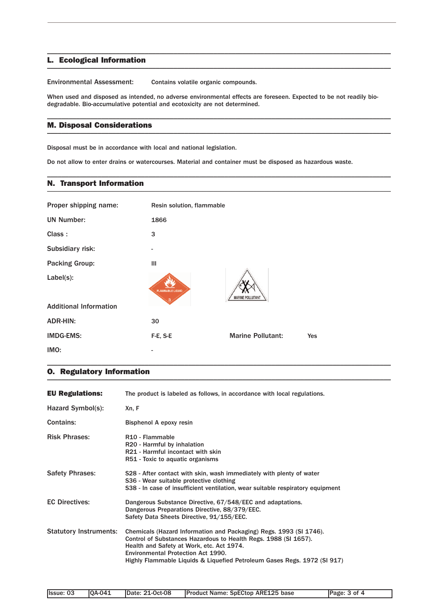### L. Ecological Information \_\_\_\_\_\_\_\_\_\_\_\_\_\_\_\_\_\_\_\_\_\_\_\_\_\_\_\_\_\_\_\_\_\_\_\_\_\_\_\_\_\_\_\_\_\_\_\_\_\_\_\_\_\_\_\_\_\_\_\_\_\_\_\_\_\_\_\_\_\_\_\_\_\_\_\_\_\_\_\_\_\_\_\_\_\_\_\_\_\_\_\_\_\_\_

Environmental Assessment: Contains volatile organic compounds.

When used and disposed as intended, no adverse environmental effects are foreseen. Expected to be not readily biodegradable. Bio-accumulative potential and ecotoxicity are not determined.

\_\_\_\_\_\_\_\_\_\_\_\_\_\_\_\_\_\_\_\_\_\_\_\_\_\_\_\_\_\_\_\_\_\_\_\_\_\_\_\_\_\_\_\_\_\_\_\_\_\_\_\_\_\_\_\_\_\_\_\_\_\_\_\_\_\_\_\_\_\_\_\_\_\_\_\_\_\_\_\_\_\_\_\_\_\_\_\_\_\_\_\_\_\_\_

\_\_\_\_\_\_\_\_\_\_\_\_\_\_\_\_\_\_\_\_\_\_\_\_\_\_\_\_\_\_\_\_\_\_\_\_\_\_\_\_\_\_\_\_\_\_\_\_\_\_\_\_\_\_\_\_\_\_\_\_\_\_\_\_\_\_\_\_\_\_\_\_\_\_\_\_\_\_\_\_\_\_\_\_\_\_\_\_\_\_\_\_\_\_\_

\_\_\_\_\_\_\_\_\_\_\_\_\_\_\_\_\_\_\_\_\_\_\_\_\_\_\_\_\_\_\_\_\_\_\_\_\_\_\_\_\_\_\_\_\_\_\_\_\_\_\_\_\_\_\_\_\_\_\_\_\_\_\_\_\_\_\_\_\_\_\_\_\_\_\_\_\_\_\_\_\_\_\_\_\_\_\_\_\_\_\_\_\_\_\_

## M. Disposal Considerations \_\_\_\_\_\_\_\_\_\_\_\_\_\_\_\_\_\_\_\_\_\_\_\_\_\_\_\_\_\_\_\_\_\_\_\_\_\_\_\_\_\_\_\_\_\_\_\_\_\_\_\_\_\_\_\_\_\_\_\_\_\_\_\_\_\_\_\_\_\_\_\_\_\_\_\_\_\_\_\_\_\_\_\_\_\_\_\_\_\_\_\_\_\_\_

Disposal must be in accordance with local and national legislation.

Do not allow to enter drains or watercourses. Material and container must be disposed as hazardous waste.

#### N. Transport Information \_\_\_\_\_\_\_\_\_\_\_\_\_\_\_\_\_\_\_\_\_\_\_\_\_\_\_\_\_\_\_\_\_\_\_\_\_\_\_\_\_\_\_\_\_\_\_\_\_\_\_\_\_\_\_\_\_\_\_\_\_\_\_\_\_\_\_\_\_\_\_\_\_\_\_\_\_\_\_\_\_\_\_\_\_\_\_\_\_\_\_\_\_\_\_

| Proper shipping name:         | Resin solution, flammable |                          |     |
|-------------------------------|---------------------------|--------------------------|-----|
| <b>UN Number:</b>             | 1866                      |                          |     |
| Class:                        | 3                         |                          |     |
| Subsidiary risk:              |                           |                          |     |
| <b>Packing Group:</b>         | Ш                         |                          |     |
| Label(s):                     | <b>FLAMMABLE LIQUID</b>   | <b>MARINE POLLUTANT</b>  |     |
| <b>Additional Information</b> |                           |                          |     |
| <b>ADR-HIN:</b>               | 30                        |                          |     |
| <b>IMDG-EMS:</b>              | F-E, S-E                  | <b>Marine Pollutant:</b> | Yes |
| IMO:                          |                           |                          |     |

## O. Regulatory Information \_\_\_\_\_\_\_\_\_\_\_\_\_\_\_\_\_\_\_\_\_\_\_\_\_\_\_\_\_\_\_\_\_\_\_\_\_\_\_\_\_\_\_\_\_\_\_\_\_\_\_\_\_\_\_\_\_\_\_\_\_\_\_\_\_\_\_\_\_\_\_\_\_\_\_\_\_\_\_\_\_\_\_\_\_\_\_\_\_\_\_\_\_\_\_

| EU Regulations:               | The product is labeled as follows, in accordance with local regulations.                                                                                                                                                                                                                             |
|-------------------------------|------------------------------------------------------------------------------------------------------------------------------------------------------------------------------------------------------------------------------------------------------------------------------------------------------|
| Hazard Symbol(s):             | Xn, F                                                                                                                                                                                                                                                                                                |
| <b>Contains:</b>              | Bisphenol A epoxy resin                                                                                                                                                                                                                                                                              |
| <b>Risk Phrases:</b>          | R <sub>10</sub> - Flammable<br>R20 - Harmful by inhalation<br>R21 - Harmful incontact with skin<br>R51 - Toxic to aquatic organisms                                                                                                                                                                  |
| Safety Phrases:               | S28 - After contact with skin, wash immediately with plenty of water<br>S36 - Wear suitable protective clothing<br>S38 - In case of insufficient ventilation, wear suitable respiratory equipment                                                                                                    |
| <b>EC Directives:</b>         | Dangerous Substance Directive, 67/548/EEC and adaptations.<br>Dangerous Preparations Directive, 88/379/EEC.<br>Safety Data Sheets Directive, 91/155/EEC.                                                                                                                                             |
| <b>Statutory Instruments:</b> | Chemicals (Hazard Information and Packaging) Regs. 1993 (SI 1746).<br>Control of Substances Hazardous to Health Regs. 1988 (SI 1657).<br>Health and Safety at Work, etc. Act 1974.<br>Environmental Protection Act 1990.<br>Highly Flammable Liquids & Liquefied Petroleum Gases Regs. 1972 (SI 917) |

\_\_\_\_\_\_\_\_\_\_\_\_\_\_\_\_\_\_\_\_\_\_\_\_\_\_\_\_\_\_\_\_\_\_\_\_\_\_\_\_\_\_\_\_\_\_\_\_\_\_\_\_\_\_\_\_\_\_\_\_\_\_\_\_\_\_\_\_\_\_\_\_\_\_\_\_\_\_\_\_\_\_\_\_\_\_\_\_\_\_\_\_\_\_\_

| <b>IOA-041</b><br>Date: 21-Oct-08<br>Ilssue: 03 | <b>Product Name: SpECtop ARE125 base</b> | Page: 3 of 4 |
|-------------------------------------------------|------------------------------------------|--------------|
|-------------------------------------------------|------------------------------------------|--------------|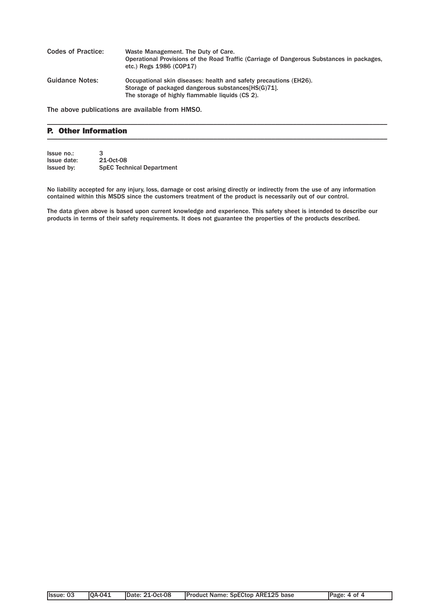| <b>Codes of Practice:</b> | Waste Management. The Duty of Care.<br>Operational Provisions of the Road Traffic (Carriage of Dangerous Substances in packages,<br>etc.) Regs 1986 (COP17)                 |
|---------------------------|-----------------------------------------------------------------------------------------------------------------------------------------------------------------------------|
| <b>Guidance Notes:</b>    | Occupational skin diseases: health and safety precautions (EH26).<br>Storage of packaged dangerous substances [HS(G) 71.<br>The storage of highly flammable liquids (CS 2). |

\_\_\_\_\_\_\_\_\_\_\_\_\_\_\_\_\_\_\_\_\_\_\_\_\_\_\_\_\_\_\_\_\_\_\_\_\_\_\_\_\_\_\_\_\_\_\_\_\_\_\_\_\_\_\_\_\_\_\_\_\_\_\_\_\_\_\_\_\_\_\_\_\_\_\_\_\_\_\_\_\_\_\_\_\_\_\_\_\_\_\_\_\_\_

The above publications are available from HMSO.

### P. Other Information  $\blacksquare$

| Issue no.:  | 3                                |
|-------------|----------------------------------|
| Issue date: | 21-0ct-08                        |
| Issued by:  | <b>SpEC Technical Department</b> |

No liability accepted for any injury, loss, damage or cost arising directly or indirectly from the use of any information contained within this MSDS since the customers treatment of the product is necessarily out of our control.

The data given above is based upon current knowledge and experience. This safety sheet is intended to describe our products in terms of their safety requirements. It does not guarantee the properties of the products described.

| <b>OA-041</b><br><b>Product Name: SpECtop ARE125 base</b><br>Ilssue: 03<br><b>IDate: 21-Oct-08</b> | Page: 4 of 4 |
|----------------------------------------------------------------------------------------------------|--------------|
|----------------------------------------------------------------------------------------------------|--------------|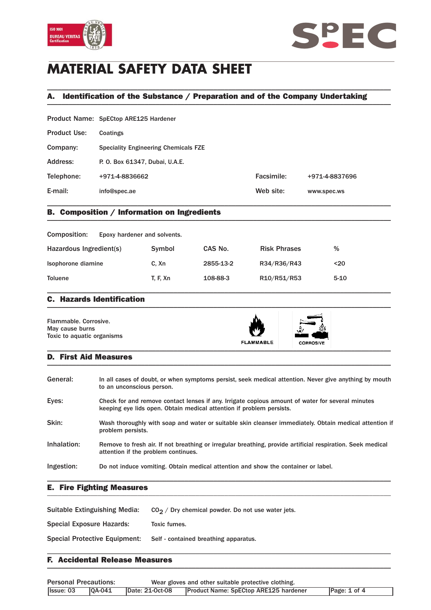



# **MATERIAL SAFETY DATA SHEET**

## A. Identification of the Substance / Preparation and of the Company Undertaking \_\_\_\_\_\_\_\_\_\_\_\_\_\_\_\_\_\_\_\_\_\_\_\_\_\_\_\_\_\_\_\_\_\_\_\_\_\_\_\_\_\_\_\_\_\_\_\_\_\_\_\_\_\_\_\_\_\_\_\_\_\_\_\_\_\_\_\_\_\_\_\_\_\_\_\_\_\_\_\_\_\_\_\_\_\_\_\_\_\_\_\_\_\_\_

\_\_\_\_\_\_\_\_\_\_\_\_\_\_\_\_\_\_\_\_\_\_\_\_\_\_\_\_\_\_\_\_\_\_\_\_\_\_\_\_\_\_\_\_\_\_\_\_\_\_\_\_\_\_\_\_\_\_\_\_\_\_\_\_\_\_\_\_\_\_\_\_\_\_\_\_\_\_\_\_\_\_\_\_\_\_\_\_\_\_\_\_\_\_\_

| E-mail:             | info@spec.ae                                | Web site:  | www.spec.ws    |  |  |
|---------------------|---------------------------------------------|------------|----------------|--|--|
| Telephone:          | +971-4-8836662                              | Facsimile: | +971-4-8837696 |  |  |
| Address:            | P. O. Box 61347, Dubai, U.A.E.              |            |                |  |  |
| Company:            | <b>Speciality Engineering Chemicals FZE</b> |            |                |  |  |
| <b>Product Use:</b> | Coatings                                    |            |                |  |  |
|                     | Product Name: SpECtop ARE125 Hardener       |            |                |  |  |

## B. Composition / Information on Ingredients \_\_\_\_\_\_\_\_\_\_\_\_\_\_\_\_\_\_\_\_\_\_\_\_\_\_\_\_\_\_\_\_\_\_\_\_\_\_\_\_\_\_\_\_\_\_\_\_\_\_\_\_\_\_\_\_\_\_\_\_\_\_\_\_\_\_\_\_\_\_\_\_\_\_\_\_\_\_\_\_\_\_\_\_\_\_\_\_\_\_\_\_\_\_\_

| Composition:            | Epoxy hardener and solvents. |           |                     |          |
|-------------------------|------------------------------|-----------|---------------------|----------|
| Hazardous Ingredient(s) | Symbol                       | CAS No.   | <b>Risk Phrases</b> | %        |
| Isophorone diamine      | C. Xn                        | 2855-13-2 | R34/R36/R43         | $20$     |
| <b>Toluene</b>          | <b>T. F. Xn</b>              | 108-88-3  | R10/R51/R53         | $5 - 10$ |

### C. Hazards Identification  $\blacksquare$

| Flammable, Corrosive.<br>May cause burns<br>Toxic to aquatic organisms | <b>FLAMMABLE</b> | N 7<br><b>CORROSIVE</b> |  |
|------------------------------------------------------------------------|------------------|-------------------------|--|
|------------------------------------------------------------------------|------------------|-------------------------|--|

### D. First Aid Measures  $\blacksquare$

| General:    | In all cases of doubt, or when symptoms persist, seek medical attention. Never give anything by mouth<br>to an unconscious person.                                       |
|-------------|--------------------------------------------------------------------------------------------------------------------------------------------------------------------------|
| Eyes:       | Check for and remove contact lenses if any. Irrigate copious amount of water for several minutes<br>keeping eye lids open. Obtain medical attention if problem persists. |
| Skin:       | Wash thoroughly with soap and water or suitable skin cleanser immediately. Obtain medical attention if<br>problem persists.                                              |
| Inhalation: | Remove to fresh air. If not breathing or irregular breathing, provide artificial respiration. Seek medical<br>attention if the problem continues.                        |
| Ingestion:  | Do not induce vomiting. Obtain medical attention and show the container or label.                                                                                        |

### E. Fire Fighting Measures \_\_\_\_\_\_\_\_\_\_\_\_\_\_\_\_\_\_\_\_\_\_\_\_\_\_\_\_\_\_\_\_\_\_\_\_\_\_\_\_\_\_\_\_\_\_\_\_\_\_\_\_\_\_\_\_\_\_\_\_\_\_\_\_\_\_\_\_\_\_\_\_\_\_\_\_\_\_\_\_\_\_\_\_\_\_\_\_\_\_\_\_\_\_\_

| Suitable Extinguishing Media:        | $CO2$ / Dry chemical powder. Do not use water jets. |
|--------------------------------------|-----------------------------------------------------|
| <b>Special Exposure Hazards:</b>     | Toxic fumes.                                        |
| <b>Special Protective Equipment:</b> | Self - contained breathing apparatus.               |

### F. Accidental Release Measures  $\blacksquare$

| <b>Personal Precautions:</b> |                |                 | Wear gloves and other suitable protective clothing. |                  |
|------------------------------|----------------|-----------------|-----------------------------------------------------|------------------|
| Ilssue: 03                   | <b>IOA-041</b> | Date: 21-Oct-08 | <b>Product Name: SpECtop ARE125 hardener</b>        | Page: $1$ of $4$ |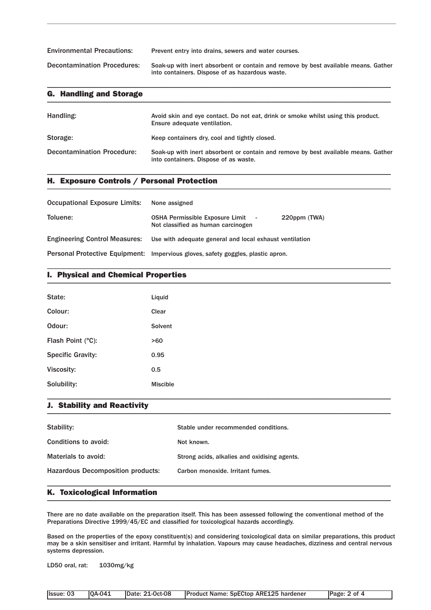| <b>Environmental Precautions:</b>  | Prevent entry into drains, sewers and water courses.                                                                                  |
|------------------------------------|---------------------------------------------------------------------------------------------------------------------------------------|
| <b>Decontamination Procedures:</b> | Soak-up with inert absorbent or contain and remove by best available means. Gather<br>into containers. Dispose of as hazardous waste. |

\_\_\_\_\_\_\_\_\_\_\_\_\_\_\_\_\_\_\_\_\_\_\_\_\_\_\_\_\_\_\_\_\_\_\_\_\_\_\_\_\_\_\_\_\_\_\_\_\_\_\_\_\_\_\_\_\_\_\_\_\_\_\_\_\_\_\_\_\_\_\_\_\_\_\_\_\_\_\_\_\_\_\_\_\_\_\_\_\_\_\_\_\_\_\_

| <b>G. Handling and Storage</b>    |                                                                                                                             |
|-----------------------------------|-----------------------------------------------------------------------------------------------------------------------------|
| Handling:                         | Avoid skin and eye contact. Do not eat, drink or smoke whilst using this product.<br>Ensure adequate ventilation.           |
| Storage:                          | Keep containers dry, cool and tightly closed.                                                                               |
| <b>Decontamination Procedure:</b> | Soak-up with inert absorbent or contain and remove by best available means. Gather<br>into containers. Dispose of as waste. |

\_\_\_\_\_\_\_\_\_\_\_\_\_\_\_\_\_\_\_\_\_\_\_\_\_\_\_\_\_\_\_\_\_\_\_\_\_\_\_\_\_\_\_\_\_\_\_\_\_\_\_\_\_\_\_\_\_\_\_\_\_\_\_\_\_\_\_\_\_\_\_\_\_\_\_\_\_\_\_\_\_\_\_\_\_\_\_\_\_\_\_\_\_\_\_

## H. Exposure Controls / Personal Protection \_\_\_\_\_\_\_\_\_\_\_\_\_\_\_\_\_\_\_\_\_\_\_\_\_\_\_\_\_\_\_\_\_\_\_\_\_\_\_\_\_\_\_\_\_\_\_\_\_\_\_\_\_\_\_\_\_\_\_\_\_\_\_\_\_\_\_\_\_\_\_\_\_\_\_\_\_\_\_\_\_\_\_\_\_\_\_\_\_\_\_\_\_\_\_

| Occupational Exposure Limits: None assigned |                                                                                                |
|---------------------------------------------|------------------------------------------------------------------------------------------------|
| Toluene:                                    | <b>OSHA Permissible Exposure Limit</b> -<br>220ppm (TWA)<br>Not classified as human carcinogen |
|                                             | Engineering Control Measures: Use with adequate general and local exhaust ventilation          |
|                                             | Personal Protective Equipment: Impervious gloves, safety goggles, plastic apron.               |

## I. Physical and Chemical Properties \_\_\_\_\_\_\_\_\_\_\_\_\_\_\_\_\_\_\_\_\_\_\_\_\_\_\_\_\_\_\_\_\_\_\_\_\_\_\_\_\_\_\_\_\_\_\_\_\_\_\_\_\_\_\_\_\_\_\_\_\_\_\_\_\_\_\_\_\_\_\_\_\_\_\_\_\_\_\_\_\_\_\_\_\_\_\_\_\_\_\_\_\_\_\_

| State:                   | Liquid          |
|--------------------------|-----------------|
| Colour:                  | Clear           |
| Odour:                   | Solvent         |
| Flash Point (°C):        | >60             |
| <b>Specific Gravity:</b> | 0.95            |
| Viscosity:               | 0.5             |
| Solubility:              | <b>Miscible</b> |

\_\_\_\_\_\_\_\_\_\_\_\_\_\_\_\_\_\_\_\_\_\_\_\_\_\_\_\_\_\_\_\_\_\_\_\_\_\_\_\_\_\_\_\_\_\_\_\_\_\_\_\_\_\_\_\_\_\_\_\_\_\_\_\_\_\_\_\_\_\_\_\_\_\_\_\_\_\_\_\_\_\_\_\_\_\_\_\_\_\_\_\_\_\_\_

## J. Stability and Reactivity \_\_\_\_\_\_\_\_\_\_\_\_\_\_\_\_\_\_\_\_\_\_\_\_\_\_\_\_\_\_\_\_\_\_\_\_\_\_\_\_\_\_\_\_\_\_\_\_\_\_\_\_\_\_\_\_\_\_\_\_\_\_\_\_\_\_\_\_\_\_\_\_\_\_\_\_\_\_\_\_\_\_\_\_\_\_\_\_\_\_\_\_\_\_\_

| Stability:                               | Stable under recommended conditions.         |
|------------------------------------------|----------------------------------------------|
| Conditions to avoid:                     | Not known.                                   |
| Materials to avoid:                      | Strong acids, alkalies and oxidising agents. |
| <b>Hazardous Decomposition products:</b> | Carbon monoxide. Irritant fumes.             |
|                                          |                                              |

\_\_\_\_\_\_\_\_\_\_\_\_\_\_\_\_\_\_\_\_\_\_\_\_\_\_\_\_\_\_\_\_\_\_\_\_\_\_\_\_\_\_\_\_\_\_\_\_\_\_\_\_\_\_\_\_\_\_\_\_\_\_\_\_\_\_\_\_\_\_\_\_\_\_\_\_\_\_\_\_\_\_\_\_\_\_\_\_\_\_\_\_\_\_\_

### K. Toxicological Information \_\_\_\_\_\_\_\_\_\_\_\_\_\_\_\_\_\_\_\_\_\_\_\_\_\_\_\_\_\_\_\_\_\_\_\_\_\_\_\_\_\_\_\_\_\_\_\_\_\_\_\_\_\_\_\_\_\_\_\_\_\_\_\_\_\_\_\_\_\_\_\_\_\_\_\_\_\_\_\_\_\_\_\_\_\_\_\_\_\_\_\_\_\_\_

There are no date available on the preparation itself. This has been assessed following the conventional method of the Preparations Directive 1999/45/EC and classified for toxicological hazards accordingly.

Based on the properties of the epoxy constituent(s) and considering toxicological data on similar preparations, this product may be a skin sensitiser and irritant. Harmful by inhalation. Vapours may cause headaches, dizziness and central nervous systems depression.

LD50 oral, rat: 1030mg/kg

| Issue: 03 | <b>10A-041</b> | Date: 21-Oct-08 | Product Name: SpECtop ARE125 hardener | Page: 2 of 4 |
|-----------|----------------|-----------------|---------------------------------------|--------------|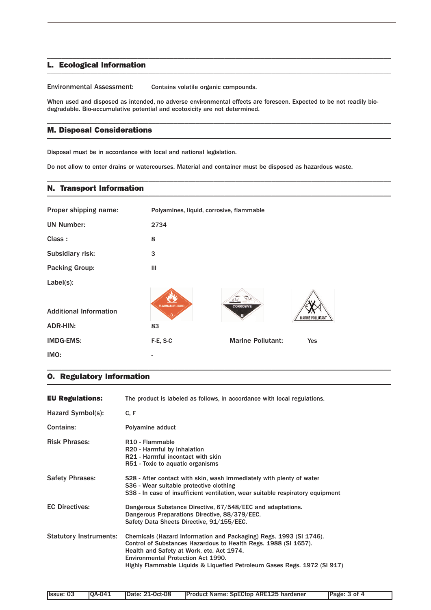### L. Ecological Information \_\_\_\_\_\_\_\_\_\_\_\_\_\_\_\_\_\_\_\_\_\_\_\_\_\_\_\_\_\_\_\_\_\_\_\_\_\_\_\_\_\_\_\_\_\_\_\_\_\_\_\_\_\_\_\_\_\_\_\_\_\_\_\_\_\_\_\_\_\_\_\_\_\_\_\_\_\_\_\_\_\_\_\_\_\_\_\_\_\_\_\_\_\_\_

Environmental Assessment: Contains volatile organic compounds.

When used and disposed as intended, no adverse environmental effects are foreseen. Expected to be not readily biodegradable. Bio-accumulative potential and ecotoxicity are not determined.

\_\_\_\_\_\_\_\_\_\_\_\_\_\_\_\_\_\_\_\_\_\_\_\_\_\_\_\_\_\_\_\_\_\_\_\_\_\_\_\_\_\_\_\_\_\_\_\_\_\_\_\_\_\_\_\_\_\_\_\_\_\_\_\_\_\_\_\_\_\_\_\_\_\_\_\_\_\_\_\_\_\_\_\_\_\_\_\_\_\_\_\_\_\_\_

\_\_\_\_\_\_\_\_\_\_\_\_\_\_\_\_\_\_\_\_\_\_\_\_\_\_\_\_\_\_\_\_\_\_\_\_\_\_\_\_\_\_\_\_\_\_\_\_\_\_\_\_\_\_\_\_\_\_\_\_\_\_\_\_\_\_\_\_\_\_\_\_\_\_\_\_\_\_\_\_\_\_\_\_\_\_\_\_\_\_\_\_\_\_\_

\_\_\_\_\_\_\_\_\_\_\_\_\_\_\_\_\_\_\_\_\_\_\_\_\_\_\_\_\_\_\_\_\_\_\_\_\_\_\_\_\_\_\_\_\_\_\_\_\_\_\_\_\_\_\_\_\_\_\_\_\_\_\_\_\_\_\_\_\_\_\_\_\_\_\_\_\_\_\_\_\_\_\_\_\_\_\_\_\_\_\_\_\_\_\_

### M. Disposal Considerations  $\blacksquare$

Disposal must be in accordance with local and national legislation.

Do not allow to enter drains or watercourses. Material and container must be disposed as hazardous waste.

### N. Transport Information \_\_\_\_\_\_\_\_\_\_\_\_\_\_\_\_\_\_\_\_\_\_\_\_\_\_\_\_\_\_\_\_\_\_\_\_\_\_\_\_\_\_\_\_\_\_\_\_\_\_\_\_\_\_\_\_\_\_\_\_\_\_\_\_\_\_\_\_\_\_\_\_\_\_\_\_\_\_\_\_\_\_\_\_\_\_\_\_\_\_\_\_\_\_\_

| Proper shipping name:         | Polyamines, liquid, corrosive, flammable |                          |                  |
|-------------------------------|------------------------------------------|--------------------------|------------------|
| <b>UN Number:</b>             | 2734                                     |                          |                  |
| Class:                        | 8                                        |                          |                  |
| Subsidiary risk:              | 3                                        |                          |                  |
| <b>Packing Group:</b>         | Ш                                        |                          |                  |
| Label(s):                     |                                          |                          |                  |
|                               |                                          |                          |                  |
| <b>Additional Information</b> | <b>FLAMMABLE LIQUID</b>                  | <b>CORROSIVE</b>         | MARINE POLLUTANT |
| <b>ADR-HIN:</b>               | 83                                       |                          |                  |
| <b>IMDG-EMS:</b>              | F-E, S-C                                 | <b>Marine Pollutant:</b> | <b>Yes</b>       |
| IMO:                          |                                          |                          |                  |

## O. Regulatory Information \_\_\_\_\_\_\_\_\_\_\_\_\_\_\_\_\_\_\_\_\_\_\_\_\_\_\_\_\_\_\_\_\_\_\_\_\_\_\_\_\_\_\_\_\_\_\_\_\_\_\_\_\_\_\_\_\_\_\_\_\_\_\_\_\_\_\_\_\_\_\_\_\_\_\_\_\_\_\_\_\_\_\_\_\_\_\_\_\_\_\_\_\_\_\_

| <b>EU Regulations:</b>        | The product is labeled as follows, in accordance with local regulations.                                                                                                                                                                                                                             |
|-------------------------------|------------------------------------------------------------------------------------------------------------------------------------------------------------------------------------------------------------------------------------------------------------------------------------------------------|
| Hazard Symbol(s):             | C, F                                                                                                                                                                                                                                                                                                 |
| <b>Contains:</b>              | Polyamine adduct                                                                                                                                                                                                                                                                                     |
| <b>Risk Phrases:</b>          | R <sub>10</sub> - Flammable<br>R20 - Harmful by inhalation<br>R21 - Harmful incontact with skin<br>R51 - Toxic to aquatic organisms                                                                                                                                                                  |
| <b>Safety Phrases:</b>        | S28 - After contact with skin, wash immediately with plenty of water<br>S36 - Wear suitable protective clothing<br>S38 - In case of insufficient ventilation, wear suitable respiratory equipment                                                                                                    |
| <b>EC Directives:</b>         | Dangerous Substance Directive, 67/548/EEC and adaptations.<br>Dangerous Preparations Directive, 88/379/EEC.<br>Safety Data Sheets Directive, 91/155/EEC.                                                                                                                                             |
| <b>Statutory Instruments:</b> | Chemicals (Hazard Information and Packaging) Regs. 1993 (SI 1746).<br>Control of Substances Hazardous to Health Regs. 1988 (SI 1657).<br>Health and Safety at Work, etc. Act 1974.<br>Environmental Protection Act 1990.<br>Highly Flammable Liquids & Liquefied Petroleum Gases Regs. 1972 (SI 917) |

\_\_\_\_\_\_\_\_\_\_\_\_\_\_\_\_\_\_\_\_\_\_\_\_\_\_\_\_\_\_\_\_\_\_\_\_\_\_\_\_\_\_\_\_\_\_\_\_\_\_\_\_\_\_\_\_\_\_\_\_\_\_\_\_\_\_\_\_\_\_\_\_\_\_\_\_\_\_\_\_\_\_\_\_\_\_\_\_\_\_\_\_\_\_\_

|  | <b>Issue: 03   QA-041</b> |  | Date: 21-Oct-08 | Product Name: SpECtop ARE125 hardener | Page: 3 of 4 |
|--|---------------------------|--|-----------------|---------------------------------------|--------------|
|--|---------------------------|--|-----------------|---------------------------------------|--------------|